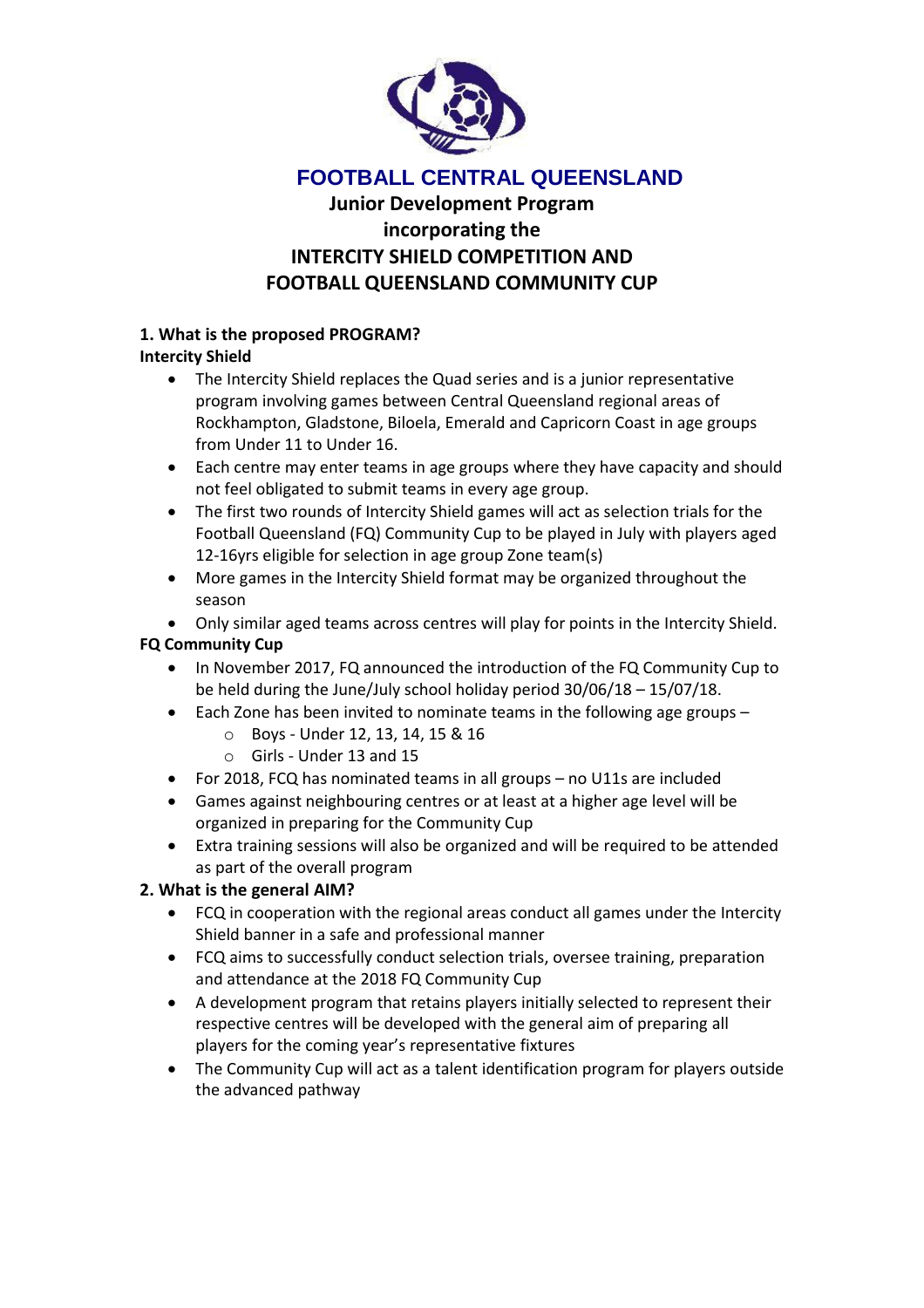

# **FOOTBALL CENTRAL QUEENSLAND**

# **Junior Development Program incorporating the INTERCITY SHIELD COMPETITION AND FOOTBALL QUEENSLAND COMMUNITY CUP**

## **1. What is the proposed PROGRAM?**

## **Intercity Shield**

- The Intercity Shield replaces the Quad series and is a junior representative program involving games between Central Queensland regional areas of Rockhampton, Gladstone, Biloela, Emerald and Capricorn Coast in age groups from Under 11 to Under 16.
- Each centre may enter teams in age groups where they have capacity and should not feel obligated to submit teams in every age group.
- The first two rounds of Intercity Shield games will act as selection trials for the Football Queensland (FQ) Community Cup to be played in July with players aged 12-16yrs eligible for selection in age group Zone team(s)
- More games in the Intercity Shield format may be organized throughout the season
- Only similar aged teams across centres will play for points in the Intercity Shield.

## **FQ Community Cup**

- In November 2017, FQ announced the introduction of the FQ Community Cup to be held during the June/July school holiday period 30/06/18 – 15/07/18.
- Each Zone has been invited to nominate teams in the following age groups
	- o Boys Under 12, 13, 14, 15 & 16
	- o Girls Under 13 and 15
- For 2018, FCQ has nominated teams in all groups no U11s are included
- Games against neighbouring centres or at least at a higher age level will be organized in preparing for the Community Cup
- Extra training sessions will also be organized and will be required to be attended as part of the overall program

# **2. What is the general AIM?**

- FCQ in cooperation with the regional areas conduct all games under the Intercity Shield banner in a safe and professional manner
- FCQ aims to successfully conduct selection trials, oversee training, preparation and attendance at the 2018 FQ Community Cup
- A development program that retains players initially selected to represent their respective centres will be developed with the general aim of preparing all players for the coming year's representative fixtures
- The Community Cup will act as a talent identification program for players outside the advanced pathway